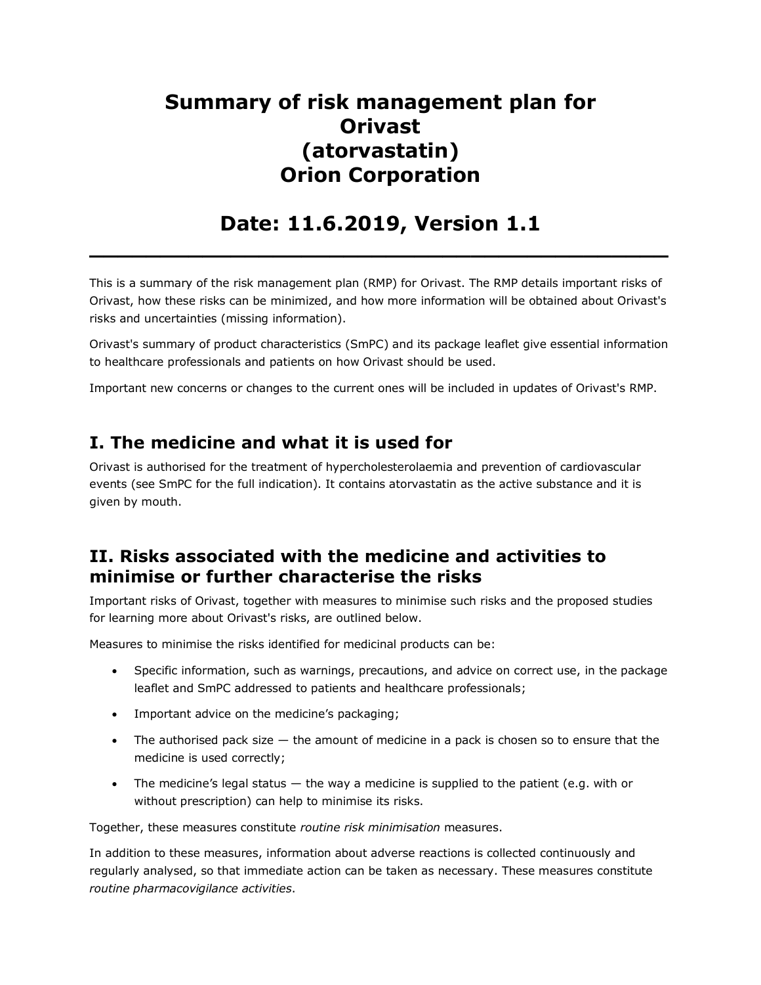# **Summary of risk management plan for Orivast (atorvastatin) Orion Corporation**

## **Date: 11.6.2019, Version 1.1 \_\_\_\_\_\_\_\_\_\_\_\_\_\_\_\_\_\_\_\_\_\_\_\_\_\_\_\_\_\_\_\_\_\_\_\_\_\_\_\_\_**

This is a summary of the risk management plan (RMP) for Orivast. The RMP details important risks of Orivast, how these risks can be minimized, and how more information will be obtained about Orivast's risks and uncertainties (missing information).

Orivast's summary of product characteristics (SmPC) and its package leaflet give essential information to healthcare professionals and patients on how Orivast should be used.

Important new concerns or changes to the current ones will be included in updates of Orivast's RMP.

## **I. The medicine and what it is used for**

Orivast is authorised for the treatment of hypercholesterolaemia and prevention of cardiovascular events (see SmPC for the full indication). It contains atorvastatin as the active substance and it is given by mouth.

## **II. Risks associated with the medicine and activities to minimise or further characterise the risks**

Important risks of Orivast, together with measures to minimise such risks and the proposed studies for learning more about Orivast's risks, are outlined below.

Measures to minimise the risks identified for medicinal products can be:

- Specific information, such as warnings, precautions, and advice on correct use, in the package leaflet and SmPC addressed to patients and healthcare professionals;
- Important advice on the medicine's packaging;
- The authorised pack size  $-$  the amount of medicine in a pack is chosen so to ensure that the medicine is used correctly;
- The medicine's legal status  $-$  the way a medicine is supplied to the patient (e.g. with or without prescription) can help to minimise its risks.

Together, these measures constitute *routine risk minimisation* measures.

In addition to these measures, information about adverse reactions is collected continuously and regularly analysed, so that immediate action can be taken as necessary. These measures constitute *routine pharmacovigilance activities*.